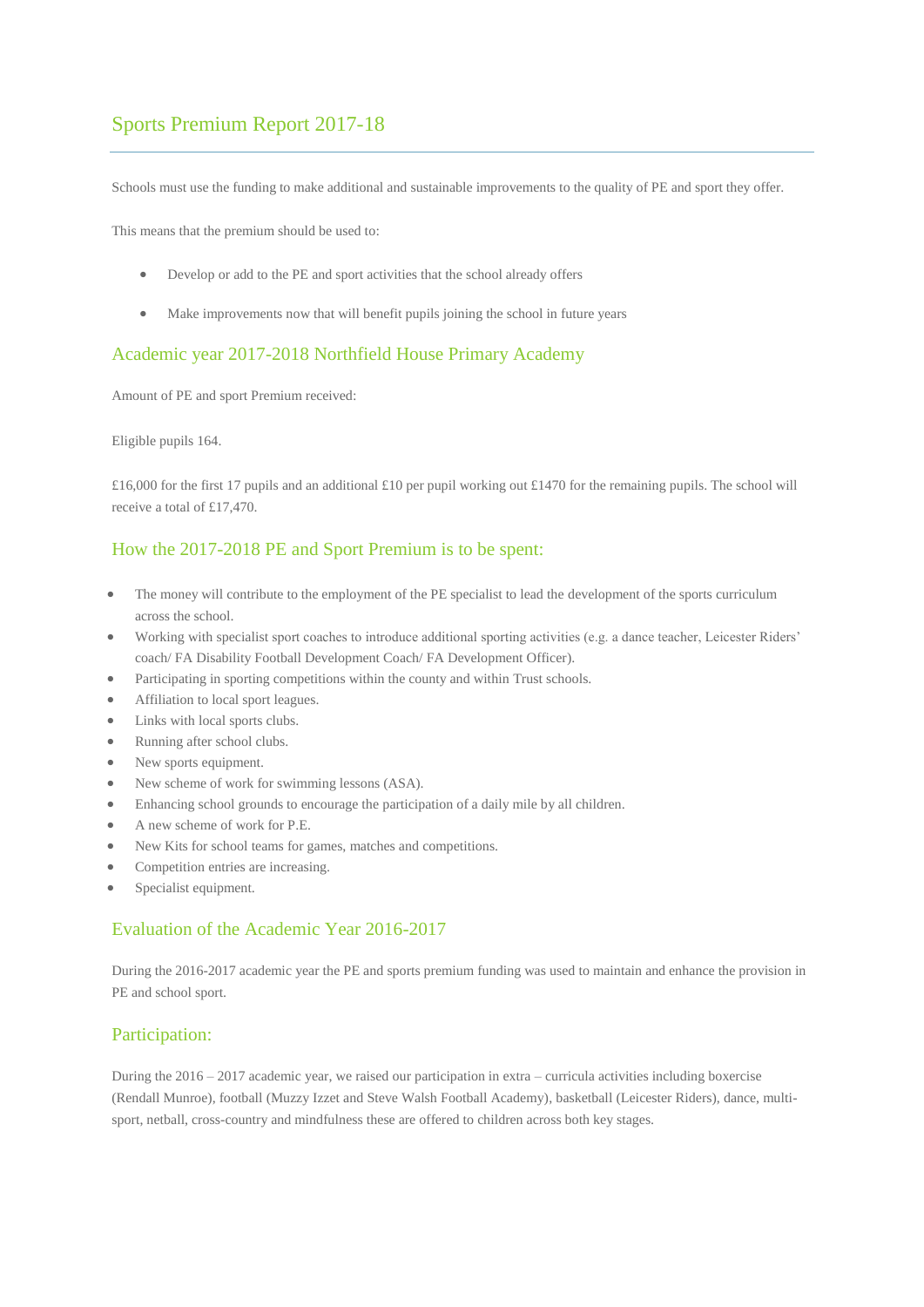# Sports Premium Report 2017-18

Schools must use the funding to make additional and sustainable improvements to the quality of PE and sport they offer.

This means that the premium should be used to:

- Develop or add to the PE and sport activities that the school already offers
- Make improvements now that will benefit pupils joining the school in future years

#### Academic year 2017-2018 Northfield House Primary Academy

Amount of PE and sport Premium received:

Eligible pupils 164.

£16,000 for the first 17 pupils and an additional £10 per pupil working out £1470 for the remaining pupils. The school will receive a total of £17,470.

### How the 2017-2018 PE and Sport Premium is to be spent:

- The money will contribute to the employment of the PE specialist to lead the development of the sports curriculum across the school.
- Working with specialist sport coaches to introduce additional sporting activities (e.g. a dance teacher, Leicester Riders' coach/ FA Disability Football Development Coach/ FA Development Officer).
- Participating in sporting competitions within the county and within Trust schools.
- Affiliation to local sport leagues.
- Links with local sports clubs.
- Running after school clubs.
- New sports equipment.
- New scheme of work for swimming lessons (ASA).
- Enhancing school grounds to encourage the participation of a daily mile by all children.
- A new scheme of work for P.E.
- New Kits for school teams for games, matches and competitions.
- Competition entries are increasing.
- Specialist equipment.

#### Evaluation of the Academic Year 2016-2017

During the 2016-2017 academic year the PE and sports premium funding was used to maintain and enhance the provision in PE and school sport.

#### Participation:

During the 2016 – 2017 academic year, we raised our participation in extra – curricula activities including boxercise (Rendall Munroe), football (Muzzy Izzet and Steve Walsh Football Academy), basketball (Leicester Riders), dance, multisport, netball, cross-country and mindfulness these are offered to children across both key stages.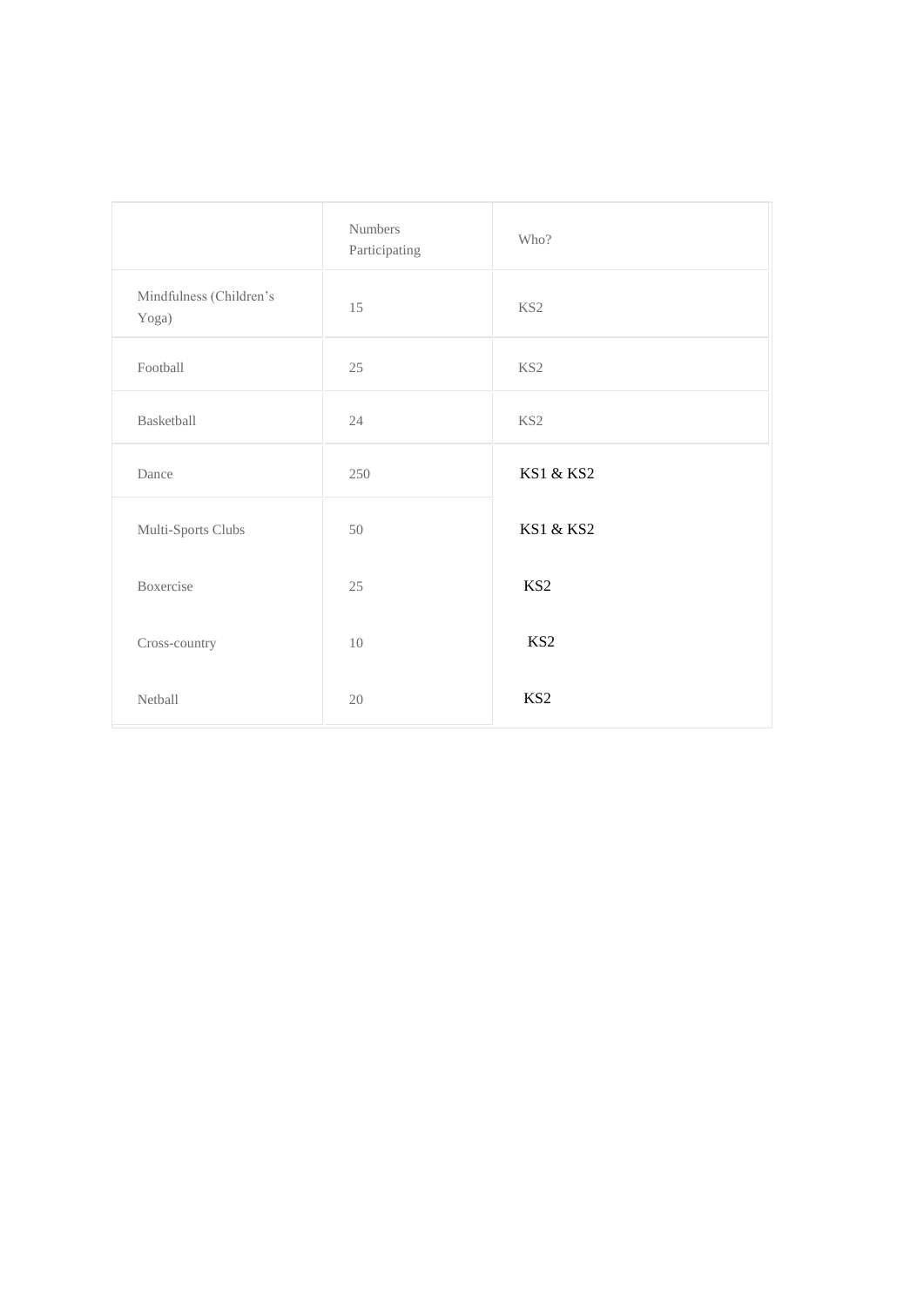|                                  | Numbers<br>Participating | Who?            |
|----------------------------------|--------------------------|-----------------|
| Mindfulness (Children's<br>Yoga) | 15                       | KS <sub>2</sub> |
| Football                         | 25                       | $\rm KS2$       |
| Basketball                       | 24                       | KS2             |
| Dance                            | 250                      | KS1 & KS2       |
| Multi-Sports Clubs               | 50                       | KS1 & KS2       |
| Boxercise                        | 25                       | KS <sub>2</sub> |
| Cross-country                    | 10                       | KS <sub>2</sub> |
| Netball                          | 20                       | KS <sub>2</sub> |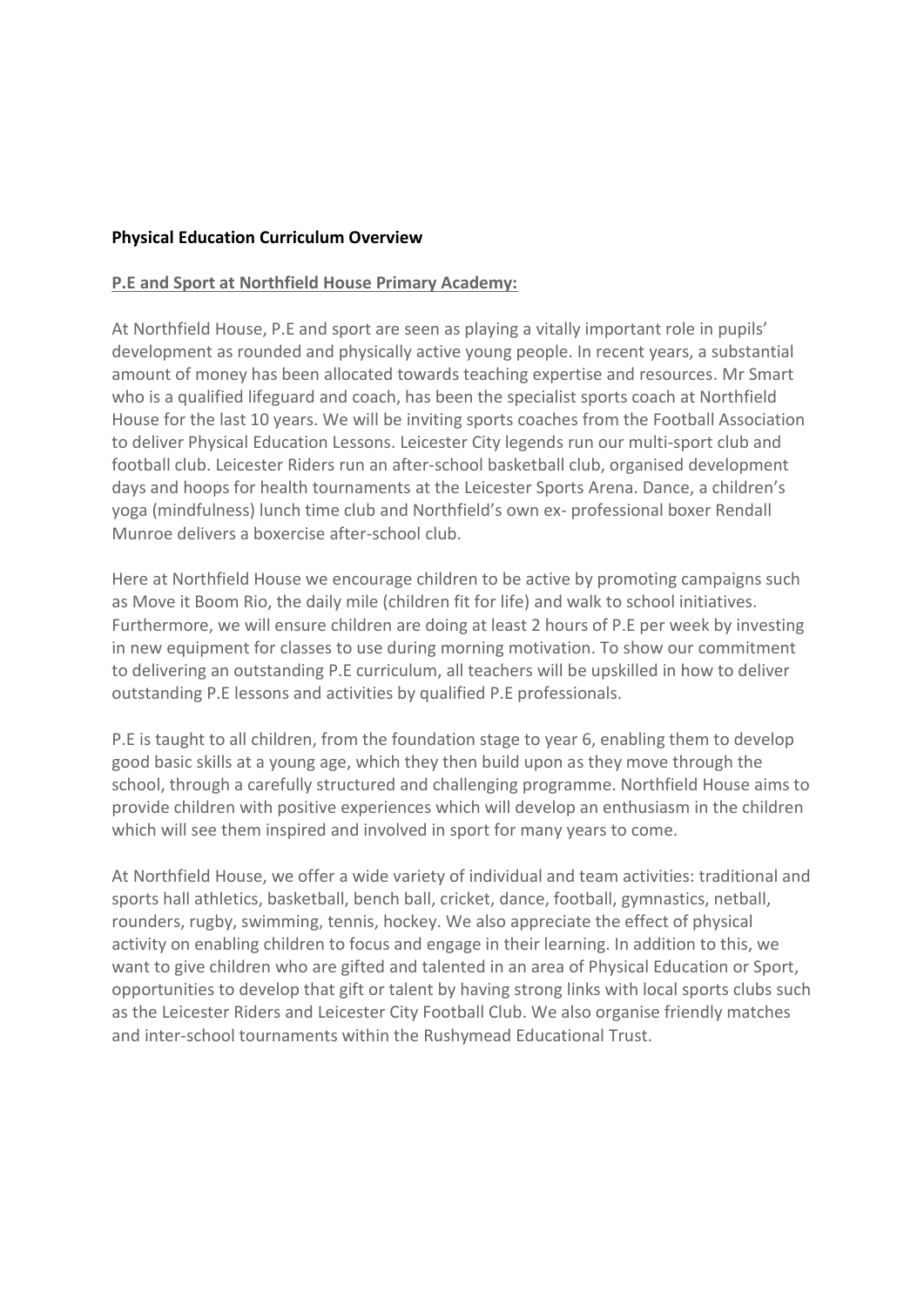## **Physical Education Curriculum Overview**

## **P.E and Sport at Northfield House Primary Academy:**

At Northfield House, P.E and sport are seen as playing a vitally important role in pupils' development as rounded and physically active young people. In recent years, a substantial amount of money has been allocated towards teaching expertise and resources. Mr Smart who is a qualified lifeguard and coach, has been the specialist sports coach at Northfield House for the last 10 years. We will be inviting sports coaches from the Football Association to deliver Physical Education Lessons. Leicester City legends run our multi-sport club and football club. Leicester Riders run an after-school basketball club, organised development days and hoops for health tournaments at the Leicester Sports Arena. Dance, a children's yoga (mindfulness) lunch time club and Northfield's own ex- professional boxer Rendall Munroe delivers a boxercise after-school club.

Here at Northfield House we encourage children to be active by promoting campaigns such as Move it Boom Rio, the daily mile (children fit for life) and walk to school initiatives. Furthermore, we will ensure children are doing at least 2 hours of P.E per week by investing in new equipment for classes to use during morning motivation. To show our commitment to delivering an outstanding P.E curriculum, all teachers will be upskilled in how to deliver outstanding P.E lessons and activities by qualified P.E professionals.

P.E is taught to all children, from the foundation stage to year 6, enabling them to develop good basic skills at a young age, which they then build upon as they move through the school, through a carefully structured and challenging programme. Northfield House aims to provide children with positive experiences which will develop an enthusiasm in the children which will see them inspired and involved in sport for many years to come.

At Northfield House, we offer a wide variety of individual and team activities: traditional and sports hall athletics, basketball, bench ball, cricket, dance, football, gymnastics, netball, rounders, rugby, swimming, tennis, hockey. We also appreciate the effect of physical activity on enabling children to focus and engage in their learning. In addition to this, we want to give children who are gifted and talented in an area of Physical Education or Sport, opportunities to develop that gift or talent by having strong links with local sports clubs such as the Leicester Riders and Leicester City Football Club. We also organise friendly matches and inter-school tournaments within the Rushymead Educational Trust.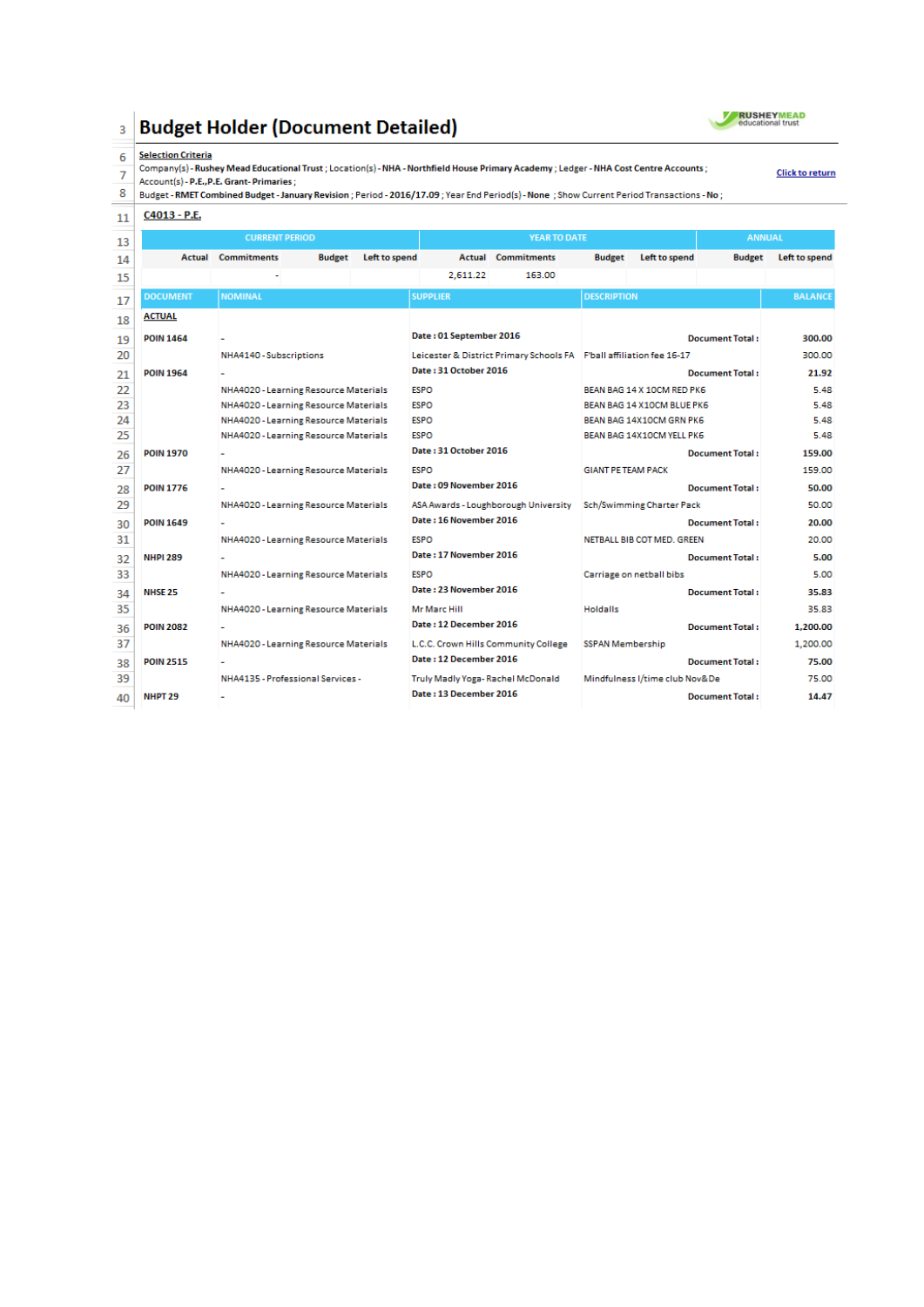#### **Budget Holder (Document Detailed)**  $\overline{3}$



**Click to return** 

#### $6\phantom{a}$ **Selection Criteria**

Company(s) - Rushey Mead Educational Trust ; Location(s) - NHA - Northfield House Primary Academy ; Ledger - NHA Cost Centre Accounts ;<br>7 Account(s) - P.E., P.E. Grant- Primaries ;<br>8 Budget - RMET Combined Budget - January

### $11 \overline{C4013 - P.E.}$

| 13 | <b>CURRENT PERIOD</b> |                                       |               | <b>YEAR TO DATE</b>     |                                  |                                                                      | <b>ANNUAL</b>             |                                |                        |                |
|----|-----------------------|---------------------------------------|---------------|-------------------------|----------------------------------|----------------------------------------------------------------------|---------------------------|--------------------------------|------------------------|----------------|
| 14 | Actual                | <b>Commitments</b>                    | <b>Budget</b> | Left to spend           |                                  | <b>Actual Commitments</b>                                            | <b>Budget</b>             | Left to spend                  | <b>Budget</b>          | Left to spend  |
| 15 |                       |                                       |               |                         | 2,611.22                         | 163.00                                                               |                           |                                |                        |                |
| 17 | <b>DOCUMENT</b>       | <b>NOMINAL</b>                        |               |                         | <b>SUPPLIER</b>                  |                                                                      | <b>DESCRIPTION</b>        |                                |                        | <b>BALANCE</b> |
| 18 | <b>ACTUAL</b>         |                                       |               |                         |                                  |                                                                      |                           |                                |                        |                |
| 19 | <b>POIN 1464</b>      |                                       |               | Date: 01 September 2016 |                                  | <b>Document Total:</b>                                               |                           |                                | 300.00                 |                |
| 20 |                       | NHA4140 - Subscriptions               |               |                         |                                  | Leicester & District Primary Schools FA F'ball affiliation fee 16-17 |                           |                                |                        | 300.00         |
| 21 | <b>POIN 1964</b>      |                                       |               |                         | Date: 31 October 2016            |                                                                      |                           |                                | <b>Document Total:</b> | 21.92          |
| 22 |                       | NHA4020 - Learning Resource Materials |               |                         | <b>ESPO</b>                      |                                                                      |                           | BEAN BAG 14 X 10CM RED PK6     |                        | 5.48           |
| 23 |                       | NHA4020 - Learning Resource Materials |               |                         | <b>ESPO</b>                      |                                                                      |                           | BEAN BAG 14 X10CM BLUE PK6     |                        | 5.48           |
| 24 |                       | NHA4020 - Learning Resource Materials |               |                         | <b>ESPO</b>                      |                                                                      |                           | BEAN BAG 14X10CM GRN PK6       |                        | 5.48           |
| 25 |                       | NHA4020 - Learning Resource Materials |               |                         | <b>ESPO</b>                      |                                                                      |                           | BEAN BAG 14X10CM YELL PK6      |                        | 5.48           |
| 26 | <b>POIN 1970</b>      |                                       |               |                         | Date: 31 October 2016            |                                                                      |                           |                                | <b>Document Total:</b> | 159.00         |
| 27 |                       | NHA4020 - Learning Resource Materials |               |                         | <b>ESPO</b>                      |                                                                      | <b>GIANT PE TEAM PACK</b> |                                |                        | 159.00         |
| 28 | <b>POIN 1776</b>      |                                       |               |                         | Date: 09 November 2016           |                                                                      |                           |                                | <b>Document Total:</b> | 50.00          |
| 29 |                       | NHA4020 - Learning Resource Materials |               |                         |                                  | ASA Awards - Loughborough University                                 |                           | Sch/Swimming Charter Pack      |                        | 50.00          |
| 30 | <b>POIN 1649</b>      |                                       |               |                         | Date: 16 November 2016           |                                                                      |                           |                                | <b>Document Total:</b> | 20.00          |
| 31 |                       | NHA4020 - Learning Resource Materials |               |                         | <b>ESPO</b>                      |                                                                      |                           | NETBALL BIB COT MED. GREEN     |                        | 20.00          |
| 32 | <b>NHPI 289</b>       |                                       |               |                         | Date: 17 November 2016           |                                                                      |                           |                                | <b>Document Total:</b> | 5.00           |
| 33 |                       | NHA4020 - Learning Resource Materials |               |                         | <b>ESPO</b>                      |                                                                      |                           | Carriage on netball bibs       |                        | 5.00           |
| 34 | <b>NHSE 25</b>        |                                       |               |                         | Date: 23 November 2016           |                                                                      |                           |                                | <b>Document Total:</b> | 35.83          |
| 35 |                       | NHA4020 - Learning Resource Materials |               |                         | Mr Marc Hill                     |                                                                      | <b>Holdalls</b>           |                                |                        | 35.83          |
| 36 | <b>POIN 2082</b>      |                                       |               |                         | Date: 12 December 2016           |                                                                      |                           |                                | <b>Document Total:</b> | 1,200.00       |
| 37 |                       | NHA4020 - Learning Resource Materials |               |                         |                                  | L.C.C. Crown Hills Community College                                 | <b>SSPAN Membership</b>   |                                |                        | 1.200.00       |
| 38 | <b>POIN 2515</b>      |                                       |               |                         | Date: 12 December 2016           |                                                                      |                           |                                | <b>Document Total:</b> | 75.00          |
| 39 |                       | NHA4135 - Professional Services -     |               |                         | Truly Madly Yoga-Rachel McDonald |                                                                      |                           | Mindfulness I/time club Nov&De |                        | 75.00          |
| 40 | NHPT <sub>29</sub>    |                                       |               |                         | Date: 13 December 2016           |                                                                      |                           |                                | <b>Document Total:</b> | 14.47          |